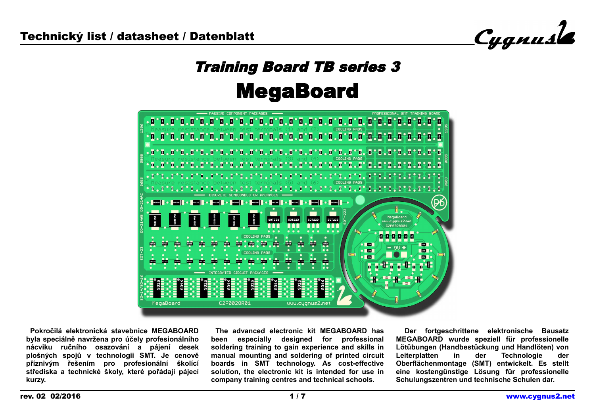Cygnusle

# Training Board TB series 3 MegaBoard



 **Pokročilá elektronická stavebnice MEGABOARD byla speciálně navržena pro účely profesionálního nácviku ručního osazování a pájení desek plošných spojů v technologii SMT. Je cenově příznivým řešením pro profesionální školící střediska a technické školy, které pořádají pájecí kurzy.** 

**The advanced electronic kit MEGABOARD has been especially designed for professional soldering training to gain experience and skills in manual mounting and soldering of printed circuit boards in SMT technology. As cost-effective solution, the electronic kit is intended for use in company training centres and technical schools.**

 **Der fortgeschrittene elektronische Bausatz MEGABOARD wurde speziell für professionelle Lötübungen (Handbestückung und Handlöten) von Leiterplatten in der Technologie der Oberflächenmontage (SMT) entwickelt. Es stellt eine kostengünstige Lösung für professionelle Schulungszentren und technische Schulen dar.**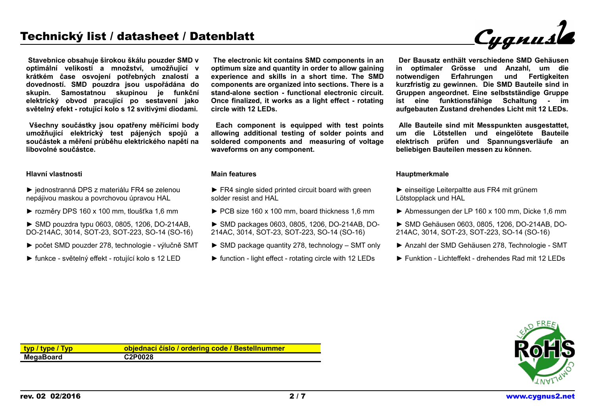**Stavebnice obsahuje širokou škálu pouzder SMD v optimální velikosti a množství, umožňující v krátkém čase osvojení potřebných znalostí a dovedností. SMD pouzdra jsou uspořádána do skupin. Samostatnou skupinou je funkční elektrický obvod pracující po sestavení jako světelný efekt - rotující kolo s 12 svítivými diodami.**

 **Všechny součástky jsou opatřeny měřícími body umožňující elektrický test pájených spojů a součástek a měření průběhu elektrického napětí na libovolné součástce.**

#### **Hlavní vlastnosti**

- ► jednostranná DPS z materiálu FR4 se zelenou nepájivou maskou a povrchovou úpravou HAL
- ► rozměry DPS 160 x 100 mm, tloušťka 1,6 mm
- ► SMD pouzdra typu 0603, 0805, 1206, DO-214AB, DO-214AC, 3014, SOT-23, SOT-223, SO-14 (SO-16)
- ► počet SMD pouzder 278, technologie výlučně SMT
- ► funkce světelný effekt rotující kolo s 12 LED

**The electronic kit contains SMD components in an optimum size and quantity in order to allow gaining experience and skills in a short time. The SMD components are organized into sections. There is a stand-alone section - functional electronic circuit. Once finalized, it works as a light effect - rotating circle with 12 LEDs.**

 **Each component is equipped with test points allowing additional testing of solder points and soldered components and measuring of voltage waveforms on any component.**

#### **Main features**

- ► FR4 single sided printed circuit board with green solder resist and HAL
- ► PCB size 160 x 100 mm, board thickness 1,6 mm
- ► SMD packages 0603, 0805, 1206, DO-214AB, DO-214AC, 3014, SOT-23, SOT-223, SO-14 (SO-16)
- ► SMD package quantity 278, technology SMT only
- $\triangleright$  function light effect rotating circle with 12 LEDs

**Der Bausatz enthält verschiedene SMD Gehäusen in optimaler Grösse und Anzahl, um die notwendigen Erfahrungen und Fertigkeiten kurzfristig zu gewinnen. Die SMD Bauteile sind in Gruppen angeordnet. Eine selbstständige Gruppe ist eine funktionsfähige Schaltung - im aufgebauten Zustand drehendes Licht mit 12 LEDs.**

 **Alle Bauteile sind mit Messpunkten ausgestattet, um die Lötstellen und eingelötete Bauteile elektrisch prüfen und Spannungsverläufe an beliebigen Bauteilen messen zu können.**

#### **Hauptmerkmale**

- ► einseitige Leiterpaltte aus FR4 mit grünem Lötstopplack und HAL
- ► Abmessungen der LP 160 x 100 mm, Dicke 1,6 mm
- ► SMD Gehäusen 0603, 0805, 1206, DO-214AB, DO-214AC, 3014, SOT-23, SOT-223, SO-14 (SO-16)
- ► Anzahl der SMD Gehäusen 278, Technologie SMT
- ► Funktion Lichteffekt drehendes Rad mit 12 LEDs



| typ / type / Typ | objednací číslo / ordering code / Bestellnummer |
|------------------|-------------------------------------------------|
| <b>MegaBoard</b> | C2P0028                                         |

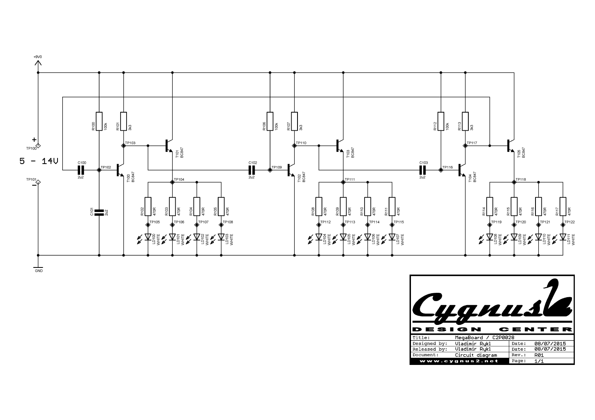

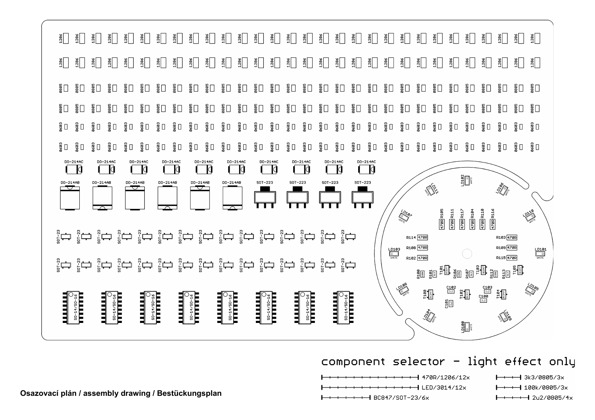

## component selector - light effect only

 $+$  470R/1206/12x  $+$  LED/3014/12 $\times$ 

 $+$  +  $+$  BC847/S0T-23/6 $\times$ 

- $+$  3k3/0805/3x
- $-1$  100k/0805/3x
- $+$   $+$  2u2/0805/4x

Osazovací plán / assembly drawing / Bestückungsplan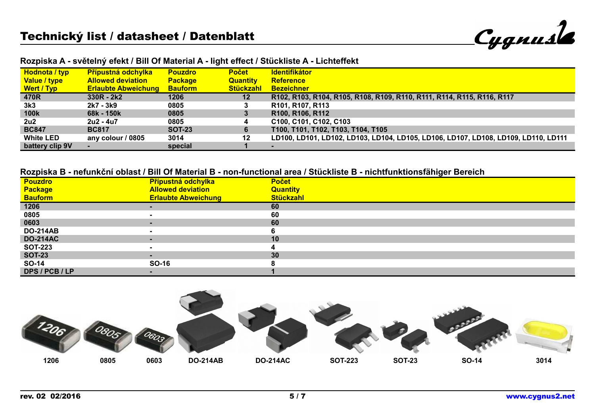Cygnusle

| Hodnota / typ    | <b>Přípustná odchylka</b>  | <b>Pouzdro</b> | <b>Počet</b>     | <b>Identifikátor</b>                                                               |
|------------------|----------------------------|----------------|------------------|------------------------------------------------------------------------------------|
| Value / type     | <b>Allowed deviation</b>   | <b>Package</b> | <b>Quantity</b>  | <b>Reference</b>                                                                   |
| Wert / Typ       | <b>Erlaubte Abweichung</b> | <b>Bauform</b> | <b>Stückzahl</b> | <b>Bezeichner</b>                                                                  |
| 470R             | $330R - 2k2$               | 1206           | $12 \,$          | R102, R103, R104, R105, R108, R109, R110, R111, R114, R115, R116, R117             |
| 3k3              | 2k7 - 3k9                  | 0805           | 3                | R101, R107, R113                                                                   |
| <b>100k</b>      | 68k - 150k                 | 0805           | 3                | R <sub>100</sub> , R <sub>106</sub> , R <sub>112</sub>                             |
| 2u2              | 2u2 - 4u7                  | 0805           | 4                | C100, C101, C102, C103                                                             |
| <b>BC847</b>     | <b>BC817</b>               | <b>SOT-23</b>  | 6                | T100, T101, T102, T103, T104, T105                                                 |
| <b>White LED</b> | any colour / 0805          | 3014           | 12               | LD100, LD101, LD102, LD103, LD104, LD105, LD106, LD107, LD108, LD109, LD110, LD111 |
| battery clip 9V  |                            | special        |                  |                                                                                    |

#### **Rozpiska A - světelný efekt / Bill Of Material A - light effect / Stückliste A - Lichteffekt**

## **Rozpiska B - nefunkční oblast / Bill Of Material B - non-functional area / Stückliste B - nichtfunktionsfähiger Bereich**

| <b>Pouzdro</b>  | Přípustná odchylka         | <b>Počet</b>     |
|-----------------|----------------------------|------------------|
| <b>Package</b>  | <b>Allowed deviation</b>   | <b>Quantity</b>  |
| <b>Bauform</b>  | <b>Erlaubte Abweichung</b> | <b>Stückzahl</b> |
| 1206            | $\blacksquare$             | 60               |
| 0805            | $\sim$                     | 60               |
| 0603            | $\sim$                     | 60               |
| <b>DO-214AB</b> |                            |                  |
| <b>DO-214AC</b> | $\blacksquare$             | 10               |
| <b>SOT-223</b>  | $\blacksquare$             |                  |
| <b>SOT-23</b>   | $\blacksquare$             | 30               |
| SO-14           | SO-16                      |                  |
| DPS / PCB / LP  |                            |                  |

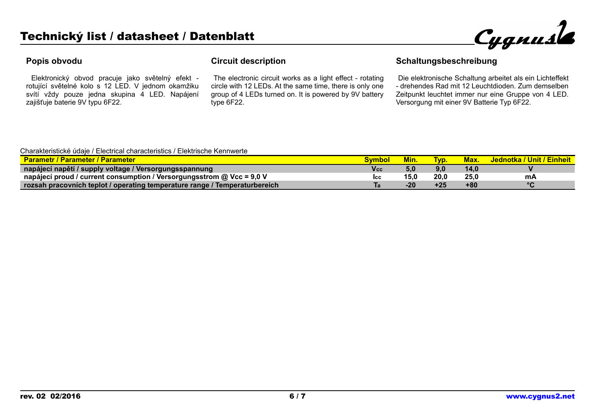

## **Popis obvodu**

 Elektronický obvod pracuje jako světelný efekt rotující světelné kolo s 12 LED. V jednom okamžiku svítí vždy pouze jedna skupina 4 LED. Napájení zajišťuje baterie 9V typu 6F22.

## **Circuit description**

 The electronic circuit works as a light effect - rotating circle with 12 LEDs. At the same time, there is only one group of 4 LEDs turned on. It is powered by 9V battery type 6F22.

## **Schaltungsbeschreibung**

 Die elektronische Schaltung arbeitet als ein Lichteffekt - drehendes Rad mit 12 Leuchtdioden. Zum demselben Zeitpunkt leuchtet immer nur eine Gruppe von 4 LED. Versorgung mit einer 9V Batterie Typ 6F22.

#### Charakteristické údaje / Electrical characteristics / Elektrische Kennwerte

| <b>Parametr / Parameter / Parameter</b>                                    |            | <b>Min.</b> | <b>TVD.</b> |      | Jednotka / Unit / Einheit |
|----------------------------------------------------------------------------|------------|-------------|-------------|------|---------------------------|
| napájecí napětí / supply voltage / Versorgungsspannung                     | V cc       | 5,0         | 9,0         | 14.0 |                           |
| napájecí proud / current consumption / Versorgungsstrom @ Vcc = 9,0 V      | <b>ICC</b> | 15.0        | 20,0        | 25.0 | mА                        |
| rozsah pracovních teplot / operating temperature range / Temperaturbereich |            | $-20$       | +25         | +80  | $\circ$                   |